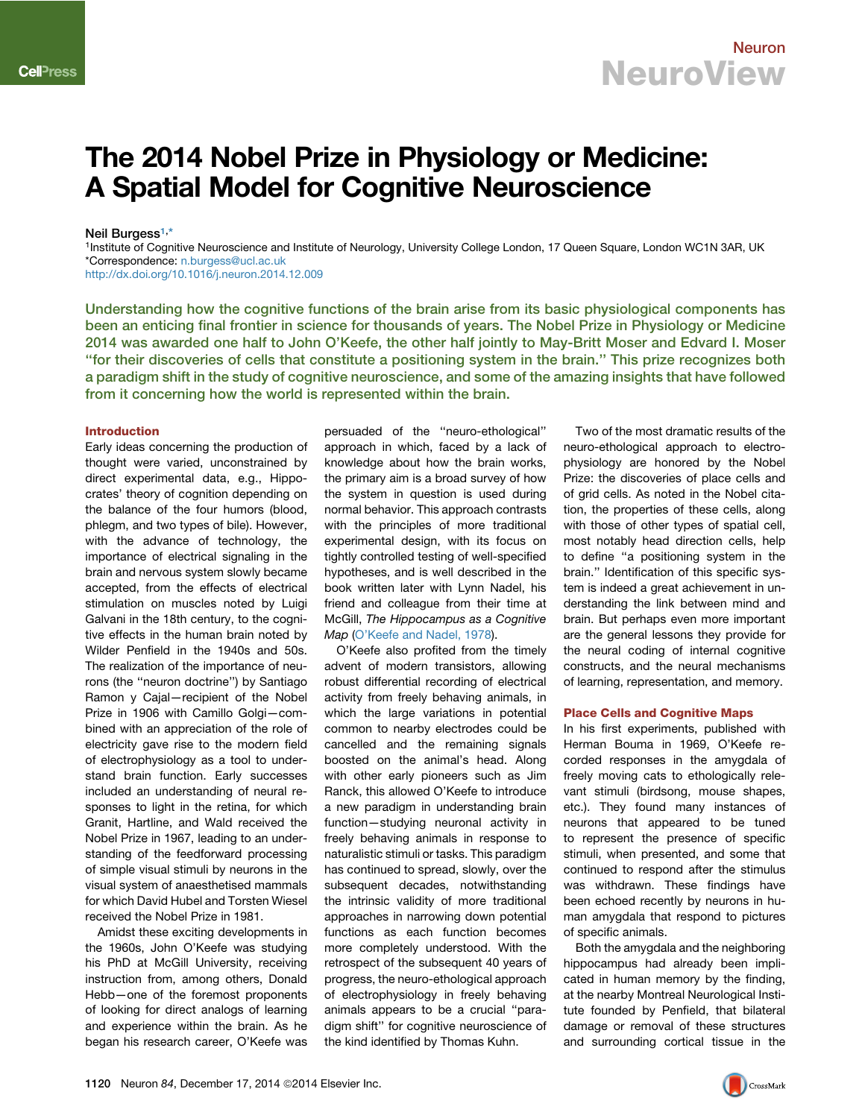# The 2014 Nobel Prize in Physiology or Medicine: A Spatial Model for Cognitive Neuroscience

### Neil Burgess<sup>[1,](#page-0-0)[\\*](#page-0-1)</sup>

<span id="page-0-1"></span><span id="page-0-0"></span>1Institute of Cognitive Neuroscience and Institute of Neurology, University College London, 17 Queen Square, London WC1N 3AR, UK \*Correspondence: [n.burgess@ucl.ac.uk](mailto:n.burgess@ucl.ac.uk) <http://dx.doi.org/10.1016/j.neuron.2014.12.009>

Understanding how the cognitive functions of the brain arise from its basic physiological components has been an enticing final frontier in science for thousands of years. The Nobel Prize in Physiology or Medicine 2014 was awarded one half to John O'Keefe, the other half jointly to May-Britt Moser and Edvard I. Moser ''for their discoveries of cells that constitute a positioning system in the brain.'' This prize recognizes both a paradigm shift in the study of cognitive neuroscience, and some of the amazing insights that have followed from it concerning how the world is represented within the brain.

### Introduction

Early ideas concerning the production of thought were varied, unconstrained by direct experimental data, e.g., Hippocrates' theory of cognition depending on the balance of the four humors (blood, phlegm, and two types of bile). However, with the advance of technology, the importance of electrical signaling in the brain and nervous system slowly became accepted, from the effects of electrical stimulation on muscles noted by Luigi Galvani in the 18th century, to the cognitive effects in the human brain noted by Wilder Penfield in the 1940s and 50s. The realization of the importance of neurons (the ''neuron doctrine'') by Santiago Ramon y Cajal—recipient of the Nobel Prize in 1906 with Camillo Golgi—combined with an appreciation of the role of electricity gave rise to the modern field of electrophysiology as a tool to understand brain function. Early successes included an understanding of neural responses to light in the retina, for which Granit, Hartline, and Wald received the Nobel Prize in 1967, leading to an understanding of the feedforward processing of simple visual stimuli by neurons in the visual system of anaesthetised mammals for which David Hubel and Torsten Wiesel received the Nobel Prize in 1981.

Amidst these exciting developments in the 1960s, John O'Keefe was studying his PhD at McGill University, receiving instruction from, among others, Donald Hebb—one of the foremost proponents of looking for direct analogs of learning and experience within the brain. As he began his research career, O'Keefe was

persuaded of the ''neuro-ethological'' approach in which, faced by a lack of knowledge about how the brain works, the primary aim is a broad survey of how the system in question is used during normal behavior. This approach contrasts with the principles of more traditional experimental design, with its focus on tightly controlled testing of well-specified hypotheses, and is well described in the book written later with Lynn Nadel, his friend and colleague from their time at McGill, *The Hippocampus as a Cognitive Map* ([O'Keefe and Nadel, 1978\)](#page-5-0).

O'Keefe also profited from the timely advent of modern transistors, allowing robust differential recording of electrical activity from freely behaving animals, in which the large variations in potential common to nearby electrodes could be cancelled and the remaining signals boosted on the animal's head. Along with other early pioneers such as Jim Ranck, this allowed O'Keefe to introduce a new paradigm in understanding brain function—studying neuronal activity in freely behaving animals in response to naturalistic stimuli or tasks. This paradigm has continued to spread, slowly, over the subsequent decades, notwithstanding the intrinsic validity of more traditional approaches in narrowing down potential functions as each function becomes more completely understood. With the retrospect of the subsequent 40 years of progress, the neuro-ethological approach of electrophysiology in freely behaving animals appears to be a crucial ''paradigm shift'' for cognitive neuroscience of the kind identified by Thomas Kuhn.

Two of the most dramatic results of the neuro-ethological approach to electrophysiology are honored by the Nobel Prize: the discoveries of place cells and of grid cells. As noted in the Nobel citation, the properties of these cells, along with those of other types of spatial cell, most notably head direction cells, help to define ''a positioning system in the brain.'' Identification of this specific system is indeed a great achievement in understanding the link between mind and brain. But perhaps even more important are the general lessons they provide for the neural coding of internal cognitive constructs, and the neural mechanisms of learning, representation, and memory.

### Place Cells and Cognitive Maps

In his first experiments, published with Herman Bouma in 1969, O'Keefe recorded responses in the amygdala of freely moving cats to ethologically relevant stimuli (birdsong, mouse shapes, etc.). They found many instances of neurons that appeared to be tuned to represent the presence of specific stimuli, when presented, and some that continued to respond after the stimulus was withdrawn. These findings have been echoed recently by neurons in human amygdala that respond to pictures of specific animals.

Both the amygdala and the neighboring hippocampus had already been implicated in human memory by the finding, at the nearby Montreal Neurological Institute founded by Penfield, that bilateral damage or removal of these structures and surrounding cortical tissue in the

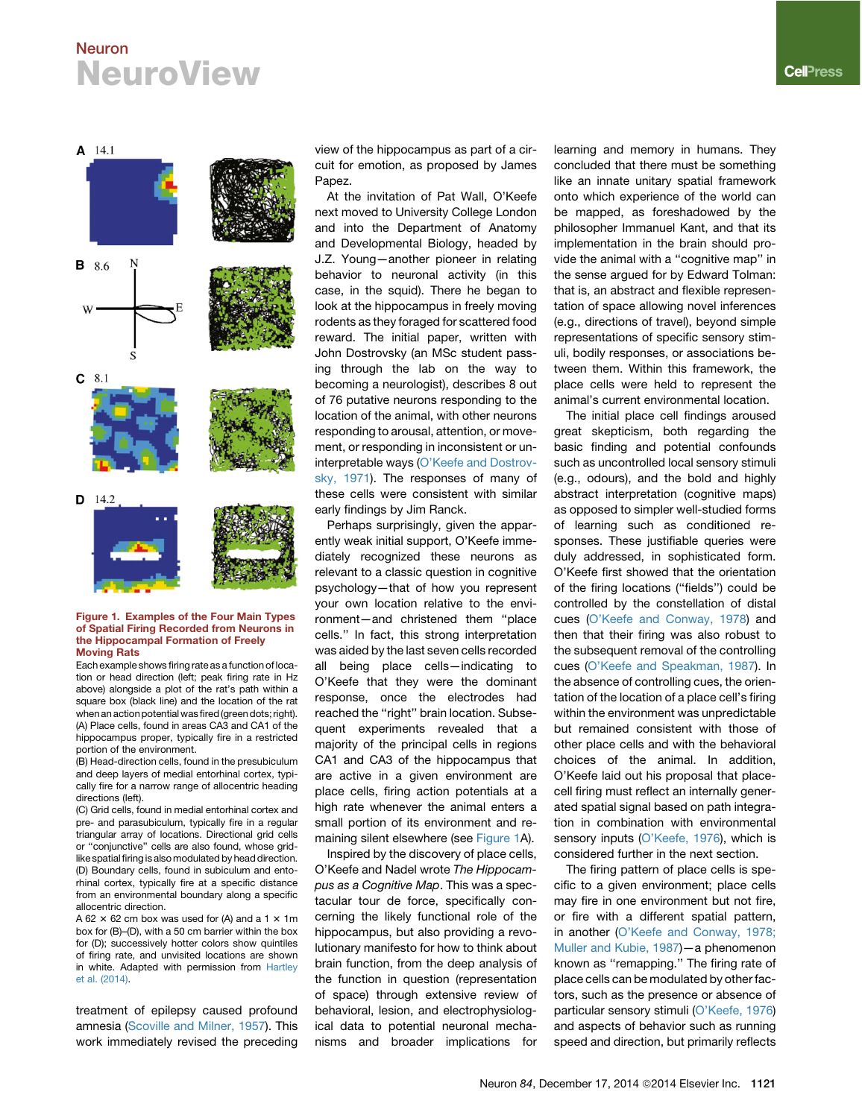## Neuron **NeuroView**

<span id="page-1-0"></span>

#### Figure 1. Examples of the Four Main Types of Spatial Firing Recorded from Neurons in the Hippocampal Formation of Freely Moving Rats

Each example shows firing rate as a function of location or head direction (left; peak firing rate in Hz above) alongside a plot of the rat's path within a square box (black line) and the location of the rat when an action potential was fired (green dots; right). (A) Place cells, found in areas CA3 and CA1 of the hippocampus proper, typically fire in a restricted portion of the environment.

(B) Head-direction cells, found in the presubiculum and deep layers of medial entorhinal cortex, typically fire for a narrow range of allocentric heading directions (left).

(C) Grid cells, found in medial entorhinal cortex and pre- and parasubiculum, typically fire in a regular triangular array of locations. Directional grid cells or ''conjunctive'' cells are also found, whose gridlike spatial firing is alsomodulated by head direction. (D) Boundary cells, found in subiculum and entorhinal cortex, typically fire at a specific distance from an environmental boundary along a specific allocentric direction.

A 62  $\times$  62 cm box was used for (A) and a 1  $\times$  1m box for (B)–(D), with a 50 cm barrier within the box for (D); successively hotter colors show quintiles of firing rate, and unvisited locations are shown in white. Adapted with permission from [Hartley](#page-5-6) [et al. \(2014\).](#page-5-6)

treatment of epilepsy caused profound amnesia ([Scoville and Milner, 1957\)](#page-5-1). This work immediately revised the preceding view of the hippocampus as part of a circuit for emotion, as proposed by James Papez.

At the invitation of Pat Wall, O'Keefe next moved to University College London and into the Department of Anatomy and Developmental Biology, headed by J.Z. Young—another pioneer in relating behavior to neuronal activity (in this case, in the squid). There he began to look at the hippocampus in freely moving rodents as they foraged for scattered food reward. The initial paper, written with John Dostrovsky (an MSc student passing through the lab on the way to becoming a neurologist), describes 8 out of 76 putative neurons responding to the location of the animal, with other neurons responding to arousal, attention, or movement, or responding in inconsistent or uninterpretable ways ([O'Keefe and Dostrov](#page-5-2)[sky, 1971](#page-5-2)). The responses of many of these cells were consistent with similar early findings by Jim Ranck.

Perhaps surprisingly, given the apparently weak initial support, O'Keefe immediately recognized these neurons as relevant to a classic question in cognitive psychology—that of how you represent your own location relative to the environment—and christened them ''place cells.'' In fact, this strong interpretation was aided by the last seven cells recorded all being place cells—indicating to O'Keefe that they were the dominant response, once the electrodes had reached the ''right'' brain location. Subsequent experiments revealed that a majority of the principal cells in regions CA1 and CA3 of the hippocampus that are active in a given environment are place cells, firing action potentials at a high rate whenever the animal enters a small portion of its environment and remaining silent elsewhere (see [Figure 1](#page-1-0)A).

Inspired by the discovery of place cells, O'Keefe and Nadel wrote *The Hippocampus as a Cognitive Map*. This was a spectacular tour de force, specifically concerning the likely functional role of the hippocampus, but also providing a revolutionary manifesto for how to think about brain function, from the deep analysis of the function in question (representation of space) through extensive review of behavioral, lesion, and electrophysiological data to potential neuronal mechanisms and broader implications for

learning and memory in humans. They concluded that there must be something like an innate unitary spatial framework onto which experience of the world can be mapped, as foreshadowed by the philosopher Immanuel Kant, and that its implementation in the brain should provide the animal with a ''cognitive map'' in the sense argued for by Edward Tolman: that is, an abstract and flexible representation of space allowing novel inferences (e.g., directions of travel), beyond simple representations of specific sensory stimuli, bodily responses, or associations between them. Within this framework, the place cells were held to represent the animal's current environmental location.

The initial place cell findings aroused great skepticism, both regarding the basic finding and potential confounds such as uncontrolled local sensory stimuli (e.g., odours), and the bold and highly abstract interpretation (cognitive maps) as opposed to simpler well-studied forms of learning such as conditioned responses. These justifiable queries were duly addressed, in sophisticated form. O'Keefe first showed that the orientation of the firing locations ("fields") could be controlled by the constellation of distal cues [\(O'Keefe and Conway, 1978](#page-5-3)) and then that their firing was also robust to the subsequent removal of the controlling cues ([O'Keefe and Speakman, 1987](#page-5-4)). In the absence of controlling cues, the orientation of the location of a place cell's firing within the environment was unpredictable but remained consistent with those of other place cells and with the behavioral choices of the animal. In addition, O'Keefe laid out his proposal that placecell firing must reflect an internally generated spatial signal based on path integration in combination with environmental sensory inputs [\(O'Keefe, 1976](#page-5-5)), which is considered further in the next section.

The firing pattern of place cells is specific to a given environment; place cells may fire in one environment but not fire, or fire with a different spatial pattern, in another ([O'Keefe and Conway, 1978;](#page-5-3) [Muller and Kubie, 1987\)](#page-5-3)—a phenomenon known as ''remapping.'' The firing rate of place cells can be modulated by other factors, such as the presence or absence of particular sensory stimuli ([O'Keefe, 1976](#page-5-5)) and aspects of behavior such as running speed and direction, but primarily reflects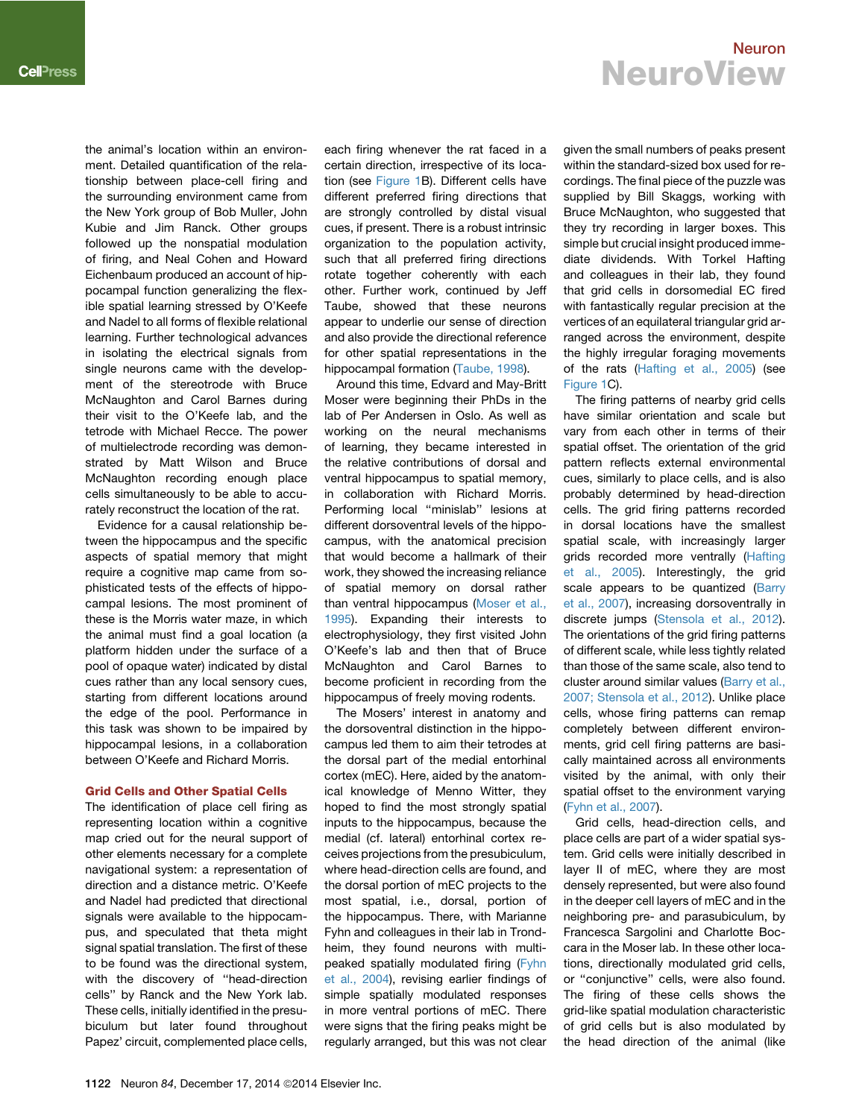the animal's location within an environment. Detailed quantification of the relationship between place-cell firing and the surrounding environment came from the New York group of Bob Muller, John Kubie and Jim Ranck. Other groups followed up the nonspatial modulation of firing, and Neal Cohen and Howard Eichenbaum produced an account of hippocampal function generalizing the flexible spatial learning stressed by O'Keefe and Nadel to all forms of flexible relational learning. Further technological advances in isolating the electrical signals from single neurons came with the development of the stereotrode with Bruce McNaughton and Carol Barnes during their visit to the O'Keefe lab, and the tetrode with Michael Recce. The power of multielectrode recording was demonstrated by Matt Wilson and Bruce McNaughton recording enough place cells simultaneously to be able to accurately reconstruct the location of the rat.

Evidence for a causal relationship between the hippocampus and the specific aspects of spatial memory that might require a cognitive map came from sophisticated tests of the effects of hippocampal lesions. The most prominent of these is the Morris water maze, in which the animal must find a goal location (a platform hidden under the surface of a pool of opaque water) indicated by distal cues rather than any local sensory cues, starting from different locations around the edge of the pool. Performance in this task was shown to be impaired by hippocampal lesions, in a collaboration between O'Keefe and Richard Morris.

## Grid Cells and Other Spatial Cells

The identification of place cell firing as representing location within a cognitive map cried out for the neural support of other elements necessary for a complete navigational system: a representation of direction and a distance metric. O'Keefe and Nadel had predicted that directional signals were available to the hippocampus, and speculated that theta might signal spatial translation. The first of these to be found was the directional system, with the discovery of ''head-direction cells'' by Ranck and the New York lab. These cells, initially identified in the presubiculum but later found throughout Papez' circuit, complemented place cells,

each firing whenever the rat faced in a certain direction, irrespective of its location (see [Figure 1B](#page-1-0)). Different cells have different preferred firing directions that are strongly controlled by distal visual cues, if present. There is a robust intrinsic organization to the population activity, such that all preferred firing directions rotate together coherently with each other. Further work, continued by Jeff Taube, showed that these neurons appear to underlie our sense of direction and also provide the directional reference for other spatial representations in the hippocampal formation [\(Taube, 1998\)](#page-5-7).

Around this time, Edvard and May-Britt Moser were beginning their PhDs in the lab of Per Andersen in Oslo. As well as working on the neural mechanisms of learning, they became interested in the relative contributions of dorsal and ventral hippocampus to spatial memory, in collaboration with Richard Morris. Performing local ''minislab'' lesions at different dorsoventral levels of the hippocampus, with the anatomical precision that would become a hallmark of their work, they showed the increasing reliance of spatial memory on dorsal rather than ventral hippocampus [\(Moser et al.,](#page-5-8) [1995\)](#page-5-8). Expanding their interests to electrophysiology, they first visited John O'Keefe's lab and then that of Bruce McNaughton and Carol Barnes to become proficient in recording from the hippocampus of freely moving rodents.

The Mosers' interest in anatomy and the dorsoventral distinction in the hippocampus led them to aim their tetrodes at the dorsal part of the medial entorhinal cortex (mEC). Here, aided by the anatomical knowledge of Menno Witter, they hoped to find the most strongly spatial inputs to the hippocampus, because the medial (cf. lateral) entorhinal cortex receives projections from the presubiculum, where head-direction cells are found, and the dorsal portion of mEC projects to the most spatial, i.e., dorsal, portion of the hippocampus. There, with Marianne Fyhn and colleagues in their lab in Trondheim, they found neurons with multipeaked spatially modulated firing [\(Fyhn](#page-5-9) [et al., 2004](#page-5-9)), revising earlier findings of simple spatially modulated responses in more ventral portions of mEC. There were signs that the firing peaks might be regularly arranged, but this was not clear

## Neuron **NeuroView**

given the small numbers of peaks present within the standard-sized box used for recordings. The final piece of the puzzle was supplied by Bill Skaggs, working with Bruce McNaughton, who suggested that they try recording in larger boxes. This simple but crucial insight produced immediate dividends. With Torkel Hafting and colleagues in their lab, they found that grid cells in dorsomedial EC fired with fantastically regular precision at the vertices of an equilateral triangular grid arranged across the environment, despite the highly irregular foraging movements of the rats [\(Hafting et al., 2005\)](#page-5-10) (see [Figure 1](#page-1-0)C).

The firing patterns of nearby grid cells have similar orientation and scale but vary from each other in terms of their spatial offset. The orientation of the grid pattern reflects external environmental cues, similarly to place cells, and is also probably determined by head-direction cells. The grid firing patterns recorded in dorsal locations have the smallest spatial scale, with increasingly larger grids recorded more ventrally ([Hafting](#page-5-10) [et al., 2005](#page-5-10)). Interestingly, the grid scale appears to be quantized ([Barry](#page-5-11) [et al., 2007\)](#page-5-11), increasing dorsoventrally in discrete jumps [\(Stensola et al., 2012](#page-5-12)). The orientations of the grid firing patterns of different scale, while less tightly related than those of the same scale, also tend to cluster around similar values ([Barry et al.,](#page-5-11) [2007; Stensola et al., 2012](#page-5-11)). Unlike place cells, whose firing patterns can remap completely between different environments, grid cell firing patterns are basically maintained across all environments visited by the animal, with only their spatial offset to the environment varying ([Fyhn et al., 2007](#page-5-13)).

Grid cells, head-direction cells, and place cells are part of a wider spatial system. Grid cells were initially described in layer II of mEC, where they are most densely represented, but were also found in the deeper cell layers of mEC and in the neighboring pre- and parasubiculum, by Francesca Sargolini and Charlotte Boccara in the Moser lab. In these other locations, directionally modulated grid cells, or ''conjunctive'' cells, were also found. The firing of these cells shows the grid-like spatial modulation characteristic of grid cells but is also modulated by the head direction of the animal (like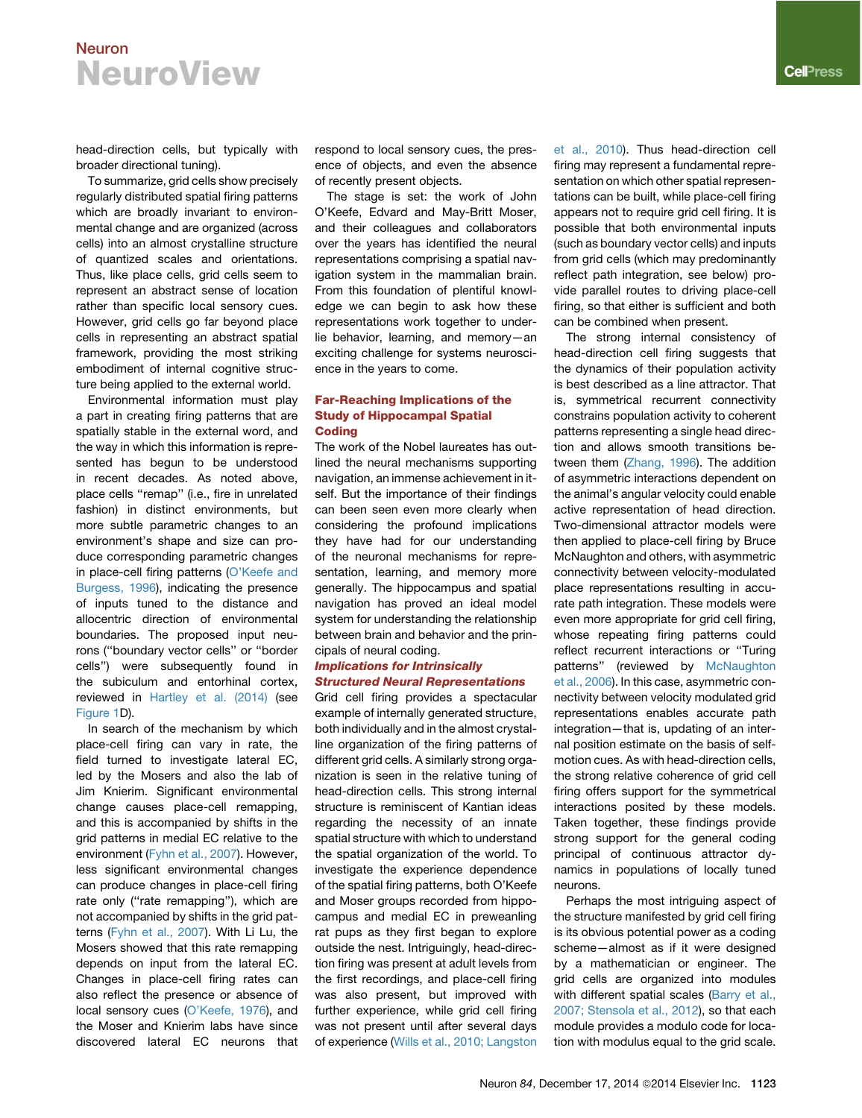## Neuron **NeuroView**

head-direction cells, but typically with broader directional tuning).

To summarize, grid cells show precisely regularly distributed spatial firing patterns which are broadly invariant to environmental change and are organized (across cells) into an almost crystalline structure of quantized scales and orientations. Thus, like place cells, grid cells seem to represent an abstract sense of location rather than specific local sensory cues. However, grid cells go far beyond place cells in representing an abstract spatial framework, providing the most striking embodiment of internal cognitive structure being applied to the external world.

Environmental information must play a part in creating firing patterns that are spatially stable in the external word, and the way in which this information is represented has begun to be understood in recent decades. As noted above, place cells ''remap'' (i.e., fire in unrelated fashion) in distinct environments, but more subtle parametric changes to an environment's shape and size can produce corresponding parametric changes in place-cell firing patterns [\(O'Keefe and](#page-5-14) [Burgess, 1996](#page-5-14)), indicating the presence of inputs tuned to the distance and allocentric direction of environmental boundaries. The proposed input neurons (''boundary vector cells'' or ''border cells'') were subsequently found in the subiculum and entorhinal cortex, reviewed in [Hartley et al. \(2014\)](#page-5-6) (see [Figure 1D](#page-1-0)).

In search of the mechanism by which place-cell firing can vary in rate, the field turned to investigate lateral EC, led by the Mosers and also the lab of Jim Knierim. Significant environmental change causes place-cell remapping, and this is accompanied by shifts in the grid patterns in medial EC relative to the environment [\(Fyhn et al., 2007\)](#page-5-13). However, less significant environmental changes can produce changes in place-cell firing rate only ("rate remapping"), which are not accompanied by shifts in the grid patterns ([Fyhn et al., 2007](#page-5-13)). With Li Lu, the Mosers showed that this rate remapping depends on input from the lateral EC. Changes in place-cell firing rates can also reflect the presence or absence of local sensory cues [\(O'Keefe, 1976](#page-5-5)), and the Moser and Knierim labs have since discovered lateral EC neurons that respond to local sensory cues, the presence of objects, and even the absence of recently present objects.

The stage is set: the work of John O'Keefe, Edvard and May-Britt Moser, and their colleagues and collaborators over the years has identified the neural representations comprising a spatial navigation system in the mammalian brain. From this foundation of plentiful knowledge we can begin to ask how these representations work together to underlie behavior, learning, and memory—an exciting challenge for systems neuroscience in the years to come.

## Far-Reaching Implications of the Study of Hippocampal Spatial Coding

The work of the Nobel laureates has outlined the neural mechanisms supporting navigation, an immense achievement in itself. But the importance of their findings can been seen even more clearly when considering the profound implications they have had for our understanding of the neuronal mechanisms for representation, learning, and memory more generally. The hippocampus and spatial navigation has proved an ideal model system for understanding the relationship between brain and behavior and the principals of neural coding.

### Implications for Intrinsically Structured Neural Representations

Grid cell firing provides a spectacular example of internally generated structure, both individually and in the almost crystalline organization of the firing patterns of different grid cells. A similarly strong organization is seen in the relative tuning of head-direction cells. This strong internal structure is reminiscent of Kantian ideas regarding the necessity of an innate spatial structure with which to understand the spatial organization of the world. To investigate the experience dependence of the spatial firing patterns, both O'Keefe and Moser groups recorded from hippocampus and medial EC in preweanling rat pups as they first began to explore outside the nest. Intriguingly, head-direction firing was present at adult levels from the first recordings, and place-cell firing was also present, but improved with further experience, while grid cell firing was not present until after several days of experience ([Wills et al., 2010; Langston](#page-5-15)

[et al., 2010\)](#page-5-15). Thus head-direction cell firing may represent a fundamental representation on which other spatial representations can be built, while place-cell firing appears not to require grid cell firing. It is possible that both environmental inputs (such as boundary vector cells) and inputs from grid cells (which may predominantly reflect path integration, see below) provide parallel routes to driving place-cell firing, so that either is sufficient and both can be combined when present.

The strong internal consistency of head-direction cell firing suggests that the dynamics of their population activity is best described as a line attractor. That is, symmetrical recurrent connectivity constrains population activity to coherent patterns representing a single head direction and allows smooth transitions between them ([Zhang, 1996](#page-5-16)). The addition of asymmetric interactions dependent on the animal's angular velocity could enable active representation of head direction. Two-dimensional attractor models were then applied to place-cell firing by Bruce McNaughton and others, with asymmetric connectivity between velocity-modulated place representations resulting in accurate path integration. These models were even more appropriate for grid cell firing. whose repeating firing patterns could reflect recurrent interactions or ''Turing patterns'' (reviewed by [McNaughton](#page-5-17) [et al., 2006](#page-5-17)). In this case, asymmetric connectivity between velocity modulated grid representations enables accurate path integration—that is, updating of an internal position estimate on the basis of selfmotion cues. As with head-direction cells, the strong relative coherence of grid cell firing offers support for the symmetrical interactions posited by these models. Taken together, these findings provide strong support for the general coding principal of continuous attractor dynamics in populations of locally tuned neurons.

Perhaps the most intriguing aspect of the structure manifested by grid cell firing is its obvious potential power as a coding scheme—almost as if it were designed by a mathematician or engineer. The grid cells are organized into modules with different spatial scales [\(Barry et al.,](#page-5-11) [2007; Stensola et al., 2012](#page-5-11)), so that each module provides a modulo code for location with modulus equal to the grid scale.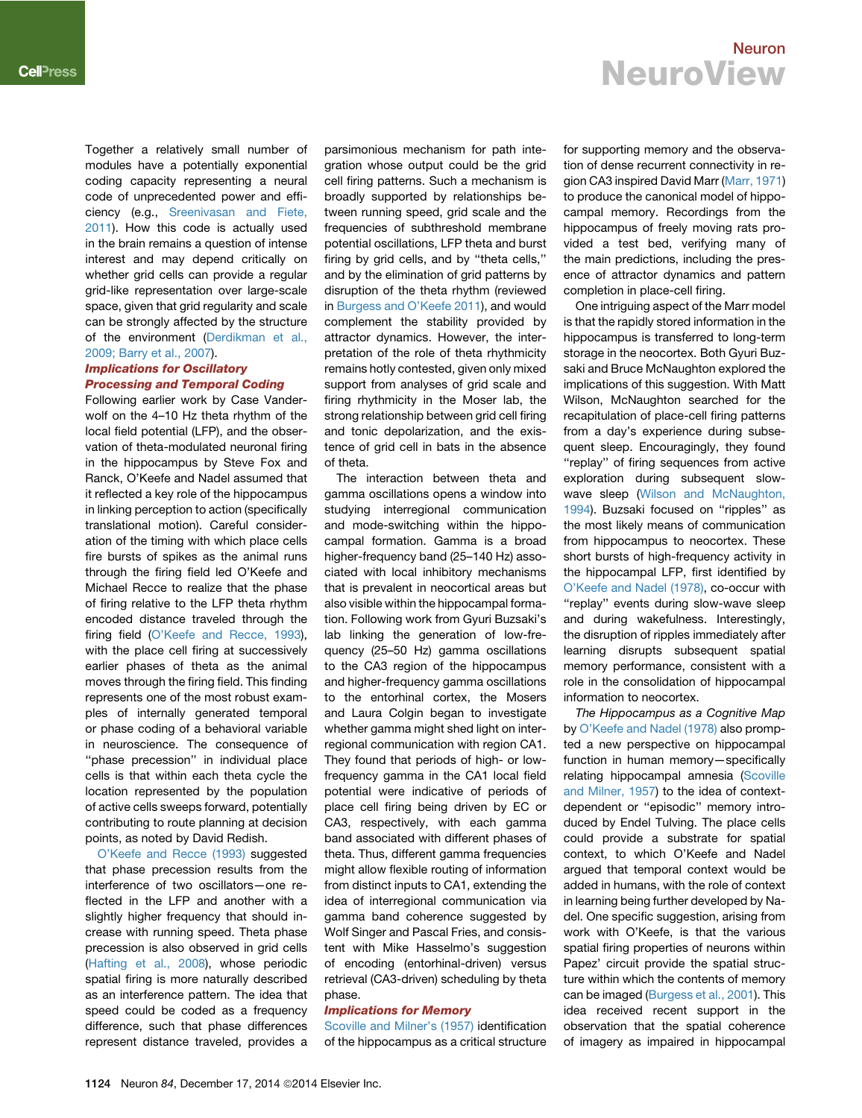Together a relatively small number of modules have a potentially exponential coding capacity representing a neural code of unprecedented power and efficiency (e.g., [Sreenivasan and Fiete,](#page-5-18) [2011](#page-5-18)). How this code is actually used in the brain remains a question of intense interest and may depend critically on whether grid cells can provide a regular grid-like representation over large-scale space, given that grid regularity and scale can be strongly affected by the structure of the environment ([Derdikman et al.,](#page-5-19) [2009; Barry et al., 2007\)](#page-5-19).

## Implications for Oscillatory Processing and Temporal Coding

Following earlier work by Case Vanderwolf on the 4–10 Hz theta rhythm of the local field potential (LFP), and the observation of theta-modulated neuronal firing in the hippocampus by Steve Fox and Ranck, O'Keefe and Nadel assumed that it reflected a key role of the hippocampus in linking perception to action (specifically translational motion). Careful consideration of the timing with which place cells fire bursts of spikes as the animal runs through the firing field led O'Keefe and Michael Recce to realize that the phase of firing relative to the LFP theta rhythm encoded distance traveled through the firing field [\(O'Keefe and Recce, 1993\)](#page-5-20), with the place cell firing at successively earlier phases of theta as the animal moves through the firing field. This finding represents one of the most robust examples of internally generated temporal or phase coding of a behavioral variable in neuroscience. The consequence of ''phase precession'' in individual place cells is that within each theta cycle the location represented by the population of active cells sweeps forward, potentially contributing to route planning at decision points, as noted by David Redish.

[O'Keefe and Recce \(1993\)](#page-5-20) suggested that phase precession results from the interference of two oscillators—one reflected in the LFP and another with a slightly higher frequency that should increase with running speed. Theta phase precession is also observed in grid cells ([Hafting et al., 2008\)](#page-5-21), whose periodic spatial firing is more naturally described as an interference pattern. The idea that speed could be coded as a frequency difference, such that phase differences represent distance traveled, provides a

parsimonious mechanism for path integration whose output could be the grid cell firing patterns. Such a mechanism is broadly supported by relationships between running speed, grid scale and the frequencies of subthreshold membrane potential oscillations, LFP theta and burst firing by grid cells, and by ''theta cells,'' and by the elimination of grid patterns by disruption of the theta rhythm (reviewed in [Burgess and O'Keefe 2011\)](#page-5-22), and would complement the stability provided by attractor dynamics. However, the interpretation of the role of theta rhythmicity remains hotly contested, given only mixed support from analyses of grid scale and firing rhythmicity in the Moser lab, the strong relationship between grid cell firing and tonic depolarization, and the existence of grid cell in bats in the absence of theta.

The interaction between theta and gamma oscillations opens a window into studying interregional communication and mode-switching within the hippocampal formation. Gamma is a broad higher-frequency band (25–140 Hz) associated with local inhibitory mechanisms that is prevalent in neocortical areas but also visible within the hippocampal formation. Following work from Gyuri Buzsaki's lab linking the generation of low-frequency (25–50 Hz) gamma oscillations to the CA3 region of the hippocampus and higher-frequency gamma oscillations to the entorhinal cortex, the Mosers and Laura Colgin began to investigate whether gamma might shed light on interregional communication with region CA1. They found that periods of high- or lowfrequency gamma in the CA1 local field potential were indicative of periods of place cell firing being driven by EC or CA3, respectively, with each gamma band associated with different phases of theta. Thus, different gamma frequencies might allow flexible routing of information from distinct inputs to CA1, extending the idea of interregional communication via gamma band coherence suggested by Wolf Singer and Pascal Fries, and consistent with Mike Hasselmo's suggestion of encoding (entorhinal-driven) versus retrieval (CA3-driven) scheduling by theta phase.

### Implications for Memory

[Scoville and Milner's \(1957\)](#page-5-1) identification of the hippocampus as a critical structure

## Neuron **NeuroView**

for supporting memory and the observation of dense recurrent connectivity in region CA3 inspired David Marr [\(Marr, 1971\)](#page-5-23) to produce the canonical model of hippocampal memory. Recordings from the hippocampus of freely moving rats provided a test bed, verifying many of the main predictions, including the presence of attractor dynamics and pattern completion in place-cell firing.

One intriguing aspect of the Marr model is that the rapidly stored information in the hippocampus is transferred to long-term storage in the neocortex. Both Gyuri Buzsaki and Bruce McNaughton explored the implications of this suggestion. With Matt Wilson, McNaughton searched for the recapitulation of place-cell firing patterns from a day's experience during subsequent sleep. Encouragingly, they found ''replay'' of firing sequences from active exploration during subsequent slowwave sleep ([Wilson and McNaughton,](#page-5-24) [1994](#page-5-24)). Buzsaki focused on "ripples" as the most likely means of communication from hippocampus to neocortex. These short bursts of high-frequency activity in the hippocampal LFP, first identified by [O'Keefe and Nadel \(1978\),](#page-5-0) co-occur with ''replay'' events during slow-wave sleep and during wakefulness. Interestingly, the disruption of ripples immediately after learning disrupts subsequent spatial memory performance, consistent with a role in the consolidation of hippocampal information to neocortex.

*The Hippocampus as a Cognitive Map* by [O'Keefe and Nadel \(1978\)](#page-5-0) also prompted a new perspective on hippocampal function in human memory—specifically relating hippocampal amnesia ([Scoville](#page-5-1) [and Milner, 1957\)](#page-5-1) to the idea of contextdependent or ''episodic'' memory introduced by Endel Tulving. The place cells could provide a substrate for spatial context, to which O'Keefe and Nadel argued that temporal context would be added in humans, with the role of context in learning being further developed by Nadel. One specific suggestion, arising from work with O'Keefe, is that the various spatial firing properties of neurons within Papez' circuit provide the spatial structure within which the contents of memory can be imaged ([Burgess et al., 2001\)](#page-5-25). This idea received recent support in the observation that the spatial coherence of imagery as impaired in hippocampal